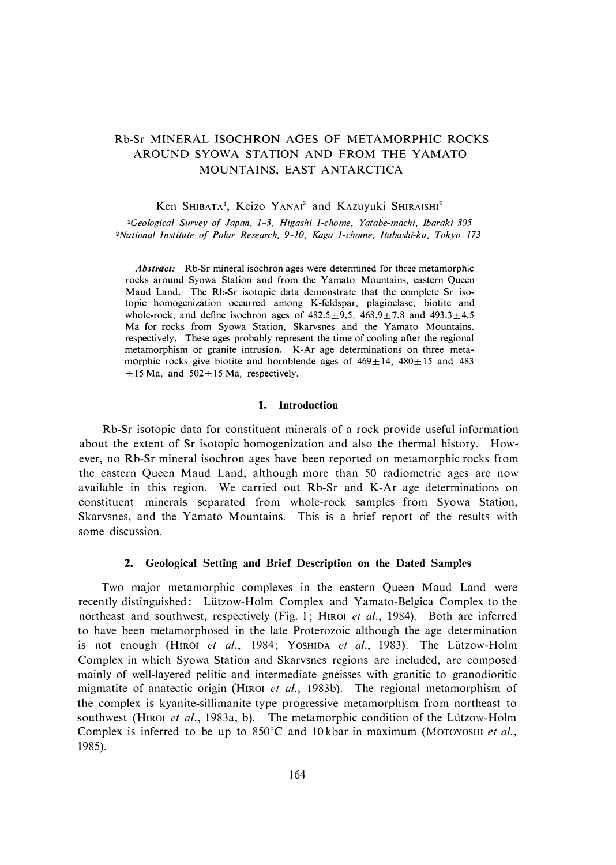# Rb-Sr MINERAL ISOCHRON AGES OF METAMORPHIC ROCKS AROUND SYOWA STATION AND FROM THE YAMATO MOUNTAINS, EAST ANTARCTICA

Ken SHIBATA<sup>1</sup>, Keizo YANAI<sup>2</sup> and KAzuyuki SHIRAISHI<sup>2</sup>

*<sup>1</sup>Geological Survey of Japan, 1-3, Higashi 1-chome, Yatabe-machi, lbaraki 305 2Nationa! Institute of Polar Research, 9-10, Kaga 1-chome, Itabashi-ku, Tokyo 173* 

*Abstract:* Rb-Sr mineral isochron ages were determined for three metamorphic rocks around Syowa Station and from the Yamato Mountains, eastern Queen Maud Land. The Rb-Sr isotopic data demonstrate that the complete Sr isotopic homogenization occurred among K-feldspar, plagioclase, biotite and whole-rock, and define isochron ages of  $482.5 \pm 9.5$ ,  $468.9 \pm 7.8$  and  $493.3 \pm 4.5$ Ma for rocks from Syowa Station, Skarvsnes and the Yamato Mountains, respectively. These ages probably represent the time of cooling after the regional metamorphism or granite intrusion. K-Ar age determinations on three metamorphic rocks give biotite and hornblende ages of  $469 \pm 14$ ,  $480 \pm 15$  and  $483$  $\pm$ 15 Ma, and 502 $\pm$ 15 Ma, respectively.

## **1. Introduction**

Rb-Sr isotopic data for constituent minerals of a rock provide useful information about the extent of Sr isotopic homogenization and also the thermal history. However, no Rb-Sr mineral isochron ages have been reported on metamorphic rocks f <sup>r</sup>om the eastern Queen Maud Land, although more than 50 radiometric ages are now available in this region. We carried out Rb-Sr and K-Ar age determinations on constituent minerals separated from whole-rock samples from Syowa Station, Skarvsnes, and the Yamato Mountains. This is a brief report of the results with some discussion.

## **2. Geological Setting and Brief Description on the Dated Samples**

Two major metamorphic complexes in the eastern Queen Maud Land were recently distinguished: Lützow-Holm Complex and Yamato-Belgica Complex to the northeast and southwest, respectively (Fig. 1; HrROI *et al.,* 1984). Both are inferred to have been metamorphosed in the late Proterozoic although the age determination is not enough (HIROI et al., 1984; YOSHIDA et al., 1983). The Lützow-Holm Complex in which Syowa Station and Skarvsnes regions are included, are composed mainly of well-layered pelitic and intermediate gneisses with granitic to granodioritic migmatite of anatectic origin (HIROI et al., 1983b). The regional metamorphism of the complex is kyanite-sillimanite type progressive metamorphism from northeast to southwest (HIROI *et al.*, 1983a, b). The metamorphic condition of the Lützow-Holm Complex is inferred to be up to 850°C and 10 kbar in maximum (MoTOYOSHI *et al.,*  1985).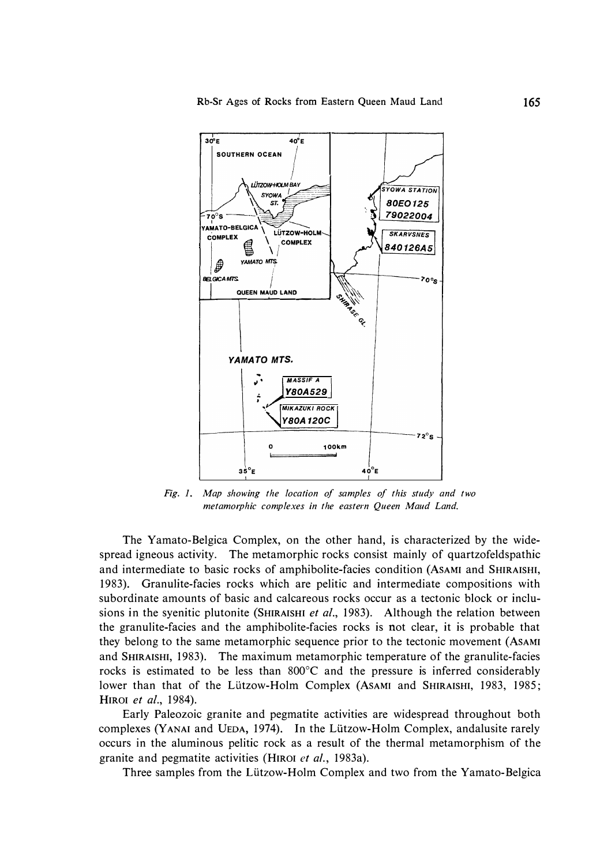

*Fig. 1. Map showing the location of samples of this study and two metamorphic complexes in the eastern Queen Maud Land.* 

The Yamato-Belgica Complex, on the other hand, is characterized by the widespread igneous activity. The metamorphic rocks consist mainly of quartzofeldspathic and intermediate to basic rocks of amphibolite-facies condition (AsAMI and SHIRAISHI, 1983). Granulite-facies rocks which are pelitic and intermediate compositions with subordinate amounts of basic and calcareous rocks occur as a tectonic block or inclusions in the syenitic plutonite (SHIRAISHI *et al.,* 1983). Although the relation between the granulite-facies and the amphibolite-facies rocks is not clear, it is probable that they belong to the same metamorphic sequence prior to the tectonic movement (AsAMI and SHIRAISHI, 1983). The maximum metamorphic temperature of the granulite-facies rocks is estimated to be less than 800°C and the pressure is inferred considerably lower than that of the Lützow-Holm Complex (Asami and SHIRAISHI, 1983, 1985; HIROI *et al.,* 1984).

Early Paleozoic granite and pegmatite activities are widespread throughout both complexes (YANAI and UEDA, 1974). In the Lützow-Holm Complex, andalusite rarely occurs in the aluminous pelitic rock as a result of the thermal metamorphism of the granite and pegmatite activities (HIROI *et al.,* 1983a).

Three samples from the Lützow-Holm Complex and two from the Yamato-Belgica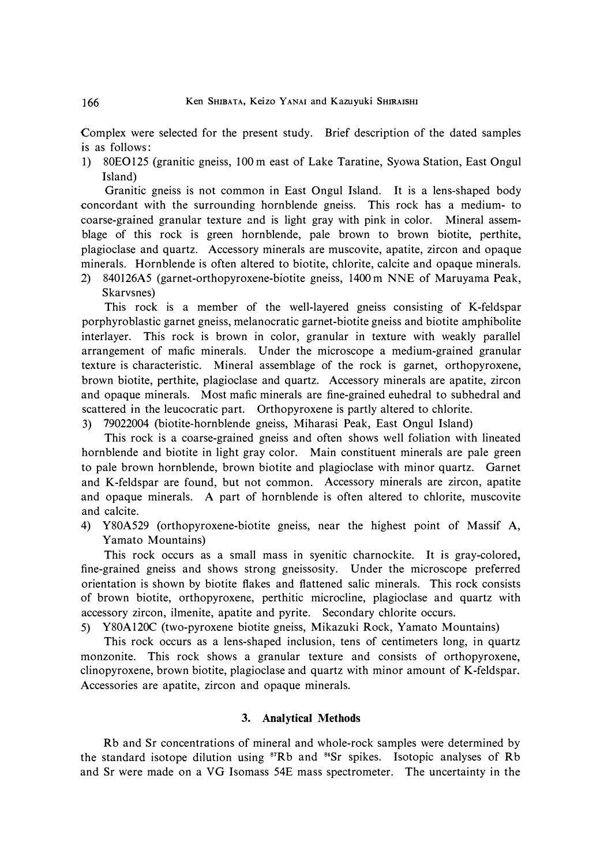Complex were selected for the present study. Brief description of the dated samples is as follows:

1) 80E0125 (granitic gneiss, 100 m east of Lake Taratine, Syowa Station, East Ongul Island)

Granitic gneiss is not common in East Ongul Island. It is a lens-shaped body concordant with the surrounding hornblende gneiss. This rock has a medium- to coarse-grained granular texture and is light gray with pink in color. Mineral assemblage of this rock is green hornblende, pale brown to brown biotite, perthite, plagioclase and quartz. Accessory minerals are muscovite, apatite, zircon and opaque minerals. Hornblende is often altered to biotite, chlorite, calcite and opaque minerals.

2) 840126A5 (garnet-orthopyroxene-biotite gneiss, 1400 m NNE of Maruyama Peak, Skarvsnes)

This rock is a member of the well-layered gneiss consisting of K-feldspar porphyroblastic garnet gneiss, melanocratic garnet-biotite gneiss and biotite amphibolite interlayer. This rock is brown in color, granular in texture with weakly parallel arrangement of mafic minerals. Under the microscope a medium-grained granular texture is characteristic. Mineral assemblage of the rock is garnet, orthopyroxene, brown biotite, perthite, plagioclase and quartz. Accessory minerals are apatite, zircon and opaque minerals. Most mafic minerals are fine-grained euhedral to subhedral and scattered in the leucocratic part. Orthopyroxene is partly altered to chlorite.

3) 79022004 (biotite-hornblende gneiss, Miharasi Peak, East Ongul Island)

This rock is a coarse-grained gneiss and often shows well foliation with lineated hornblende and biotite in light gray color. Main constituent minerals are pale green to pale brown hornblende, brown biotite and plagioclase with minor quartz. Garnet and K-feldspar are found, but not common. Accessory minerals are zircon, apatite and opaque minerals. A part of hornblende is often altered to chlorite, muscovite and calcite.

4) Y80A529 ( orthopyroxene-biotite gneiss, near the highest point of Massif A, Yamato Mountains)

This rock occurs as a small mass in syenitic charnockite. It is gray-colored, fine-grained gneiss and shows strong gneissosity. Under the microscope preferred orientation is shown by biotite flakes and flattened salic minerals. This rock consists of brown biotite, orthopyroxene, perthitic microcline, plagioclase and quartz with accessory zircon, ilmenite, apatite and pyrite. Secondary chlorite occurs.

5) Y80A120C (two-pyroxene biotite gneiss, Mikazuki Rock, Yamato Mountains)

This rock occurs as a lens-shaped inclusion, tens of centimeters long, in quartz monzonite. This rock shows a granular texture and consists of orthopyroxene, clinopyroxene, brown biotite, plagioclase and quartz with minor amount of K-feldspar. Accessories are apatite, zircon and opaque minerals.

## **3. Analytical Methods**

Rb and Sr concentrations of mineral and whole-rock samples were determined by the standard isotope dilution using **87**Rb and **84**Sr spikes. Isotopic analyses of Rb and Sr were made on a VG lsomass 54E mass spectrometer. The uncertainty in the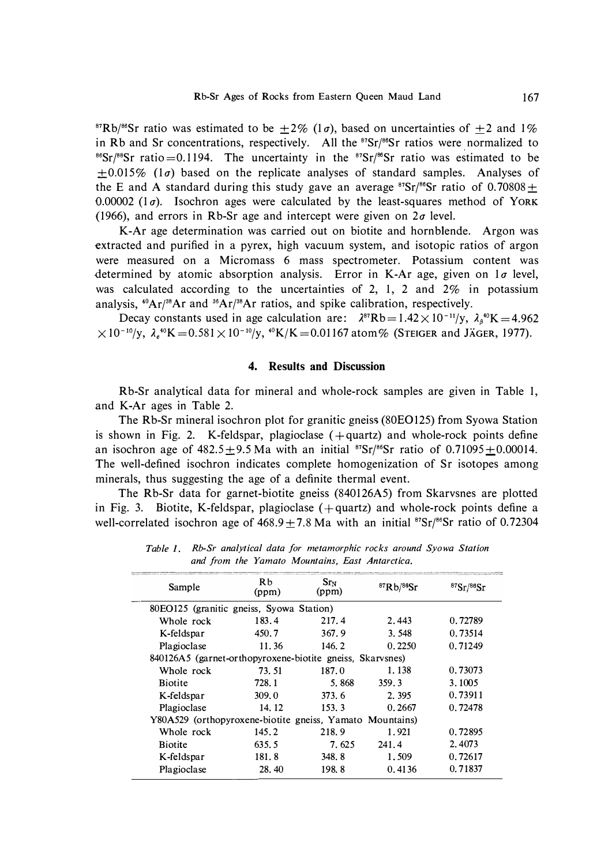<sup>87</sup>Rb/<sup>86</sup>Sr ratio was estimated to be  $\pm 2\%$  (1*a*), based on uncertainties of  $\pm 2$  and 1% in Rb and Sr concentrations, respectively. All the <sup>87</sup>Sr/86Sr ratios were normalized to <sup>86</sup>Sr/<sup>88</sup>Sr ratio = 0.1194. The uncertainty in the <sup>87</sup>Sr/<sup>86</sup>Sr ratio was estimated to be  $\pm 0.015\%$  (1 $\sigma$ ) based on the replicate analyses of standard samples. Analyses of the E and A standard during this study gave an average  ${}^{87}Sr/{}^{86}Sr$  ratio of 0.70808  $\pm$ 0.00002 ( $1\sigma$ ). Isochron ages were calculated by the least-squares method of YORK (1966), and errors in Rb-Sr age and intercept were given on *2a* level.

K-Ar age determination was carried out on biotite and hornblende. Argon was extracted and purified in a pyrex, high vacuum system, and isotopic ratios of argon were measured on a Micromass 6 mass spectrometer. Potassium content was determined by atomic absorption analysis. Error in K-Ar age, given on  $1\sigma$  level, was calculated according to the uncertainties of 2, 1, 2 and  $2\%$  in potassium analysis, 40Ar/<sup>38</sup>Ar and <sup>3</sup>6Ar/<sup>38</sup>Ar ratios, and spike calibration, respectively.

Decay constants used in age calculation are:  $\lambda^{87}Rb = 1.42 \times 10^{-11}/y$ ,  $\lambda_{\beta}^{40}K = 4.962$  $\times 10^{-10}/y$ ,  $\lambda_e$ <sup>40</sup>K=0.581×10<sup>-10</sup>/y, <sup>40</sup>K/K=0.01167 atom% (STEIGER and JÄGER, 1977).

## **4. Results and Discussion**

Rb-Sr analytical data for mineral and whole-rock samples are given in Table 1, and K-Ar ages in Table 2.

The Rb-Sr mineral isochron plot for granitic gneiss (80£0125) from Syowa Station is shown in Fig. 2. K-feldspar, plagioclase  $(+)$  and whole-rock points define an isochron age of  $482.5 \pm 9.5$  Ma with an initial  $87Sr/88Sr$  ratio of  $0.71095 \pm 0.00014$ . The well-defined isochron indicates complete homogenization of Sr isotopes among minerals, thus suggesting the age of a definite thermal event.

The Rb-Sr data for garnet-biotite gneiss (840I26A5) from Skarvsnes are plotted in Fig. 3. Biotite, K-feldspar, plagioclase  $(+$ quartz) and whole-rock points define a well-correlated isochron age of  $468.9 \pm 7.8$  Ma with an initial <sup>87</sup>Sr/<sup>86</sup>Sr ratio of 0.72304

| R <sub>b</sub><br>Sample<br>(ppm)                         |       | Sr <sub>N</sub><br>87Rb/86Sr<br>(ppm) |        | 87Sr/86Sr |
|-----------------------------------------------------------|-------|---------------------------------------|--------|-----------|
| 80EO125 (granitic gneiss, Syowa Station)                  |       |                                       |        |           |
| Whole rock                                                | 183.4 | 217.4                                 | 2.443  | 0.72789   |
| K-feldspar                                                | 450.7 | 367.9                                 | 3.548  | 0.73514   |
| Plagioclase                                               | 11.36 | 146.2                                 | 0.2250 | 0.71249   |
| 840126A5 (garnet-orthopyroxene-biotite gneiss, Skarvsnes) |       |                                       |        |           |
| Whole rock                                                | 73.51 | 187.0                                 | 1.138  | 0.73073   |
| <b>Biotite</b>                                            | 728.1 | 5.868                                 | 359.3  | 3.1005    |
| K-feldspar                                                | 309.0 | 373.6                                 | 2.395  | 0.73911   |
| Plagioclase                                               | 14.12 | 153.3                                 | 0.2667 | 0.72478   |
| Y80A529 (orthopyroxene-biotite gneiss, Yamato Mountains)  |       |                                       |        |           |
| Whole rock                                                | 145.2 | 218.9                                 | 1.921  | 0.72895   |
| <b>Biotite</b>                                            | 635.5 | 7.625                                 | 241.4  | 2.4073    |
| K-feldspar                                                | 181.8 | 348.8                                 | 1.509  | 0.72617   |
| Plagioclase                                               | 28.40 | 198.8                                 | 0.4136 | 0.71837   |

*Table I. Rb-Sr analytical data for metamorphic rocks around Syowa Station and from the Yamato Mountains, East Antarctica.*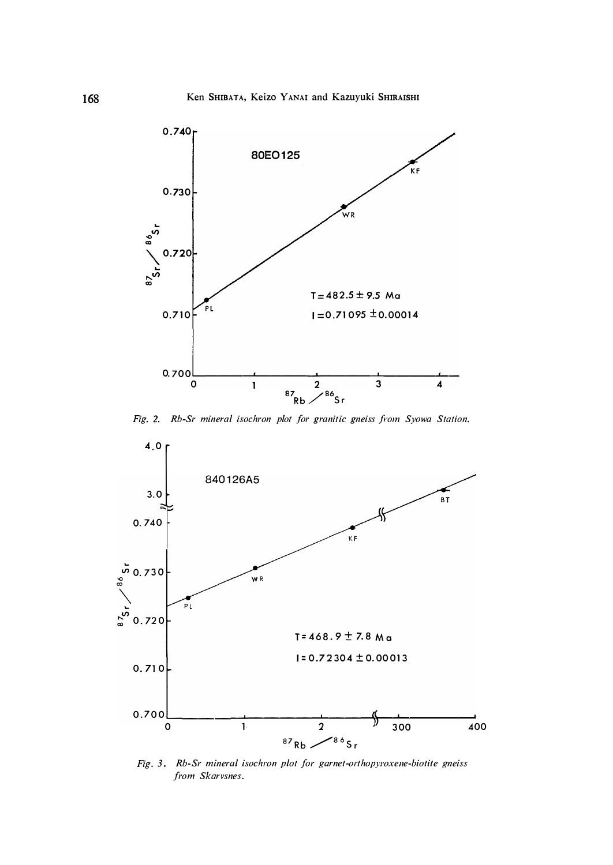

*Fig. 2. Rb-Sr mineral isochron plot for granitic gneiss from Syowa Station.* 



*Fig. 3. Rb-Sr mineral isochron plot for garnet-orthopyroxene-biotite gneiss from Skarvsnes.*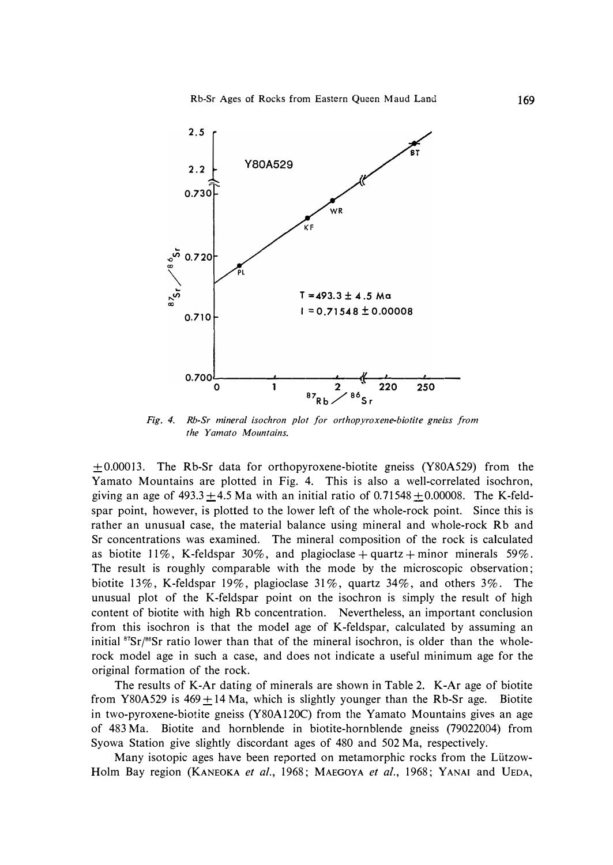

*Fig. 4. Rb-Sr mineral isochron plot for orthopyroxene-biotite gneiss from the Yamato Mountains.* 

 $\pm 0.00013$ . The Rb-Sr data for orthopyroxene-biotite gneiss (Y80A529) from the Yamato Mountains are plotted in Fig. 4. This is also a well-correlated isochron, giving an age of  $493.3 \pm 4.5$  Ma with an initial ratio of 0.71548  $\pm$ 0.00008. The K-feldspar point, however, is plotted to the lower left of the whole-rock point. Since this is rather an unusual case, the material balance using mineral and whole-rock Rb and Sr concentrations was examined. The mineral composition of the rock is calculated as biotite  $11\%$ , K-feldspar 30%, and plagioclase + quartz + minor minerals 59%. The result is roughly comparable with the mode by the microscopic observation; biotite 13%, K-feldspar 19%, plagioclase 31%, quartz 34%, and others 3%. The unusual plot of the K-feldspar point on the isochron is simply the result of high content of biotite with high Rb concentration. Nevertheless, an important conclusion from this isochron is that the model age of K-feldspar, calculated by assuming an initial <sup>87</sup>Sr/<sup>86</sup>Sr ratio lower than that of the mineral isochron, is older than the wholerock model age in such a case, and does not indicate a useful minimum age for the original formation of the rock.

The results of K-Ar dating of minerals are shown in Table 2. K-Ar age of biotite from Y80A529 is  $469 \pm 14$  Ma, which is slightly younger than the Rb-Sr age. Biotite in two-pyroxene-biotite gneiss (Y80Al20C) from the Yamato Mountains gives an age of 483 Ma. Biotite and hornblende in biotite-hornblende gneiss (79022004) from Syowa Station give slightly discordant ages of 480 and 502 Ma, respectively.

Many isotopic ages have been reported on metamorphic rocks from the Lützow-Holm Bay region (KANEOKA *et al.,* 1968; MAEGOYA *et al.,* 1968; YANAI and UEDA,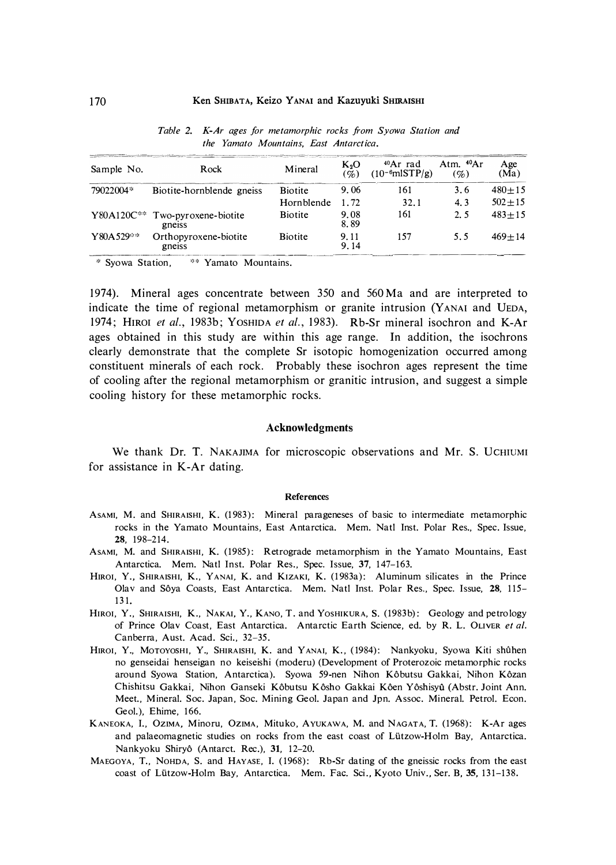| Sample No. | Rock                                                 | Mineral        | $K_2O$<br>$(\%)$ | $40Ar$ rad<br>$(10^{-6}$ mlSTP/g) | Atm. $40Ar$<br>$(\%)$ | Age<br>(Ma) |
|------------|------------------------------------------------------|----------------|------------------|-----------------------------------|-----------------------|-------------|
| 79022004*  | Biotite-hornblende gneiss                            | <b>Biotite</b> | 9.06             | 161                               | 3.6                   | $480 + 15$  |
|            |                                                      | Hornblende     | 1.72             | 32.1                              | 4.3                   | $502 + 15$  |
|            | Y80A120C <sup>**</sup> Two-pyroxene-biotite<br>gness | <b>Biotite</b> | 9.08<br>8.89     | 161                               | 2.5                   | $483 + 15$  |
| Y80A529**  | Orthopyroxene-biotite<br>gneiss                      | <b>Biotite</b> | 9.11<br>9.14     | 157                               | 5.5                   | $469+14$    |

*Table 2. K-Ar ages for metamorphic rocks from Syowa Station and the Yamato Mountains, East Antarctica.* 

\* Syowa Station, \*\* Yamato Mountains.

1974). Mineral ages concentrate between 350 and 560 Ma and are interpreted to indicate the time of regional metamorphism or granite intrusion (Y **ANAi** and **UEDA,**  1974; Hmm *et al.,* 1983b; YOSHIDA *et al. ,* 1983). Rb-Sr mineral isochron and K-Ar ages obtained in this study are within this age range. In addition, the isochrons clearly demonstrate that the complete Sr isotopic homogenization occurred among constituent minerals of each rock. Probably these isochron ages represent the time of cooling after the regional metamorphism or granitic intrusion, and suggest a simple cooling history for these metamorphic rocks.

### **Acknowledgments**

We thank Dr. T. NAKAJIMA for microscopic observations and Mr. S. UCHIUMI for assistance in K-Ar dating.

#### **References**

- ASAMI, M. and SHIRAISHI, K. (1983): Mineral parageneses of basic to intermediate metamorphic rocks in the Yamato Mountains, East Antarctica. Mem. Natl Inst. Polar Res., Spec. Issue, **28,** 198-214.
- ASAMI, M. and SHIRAISHI, K. (1985): Retrograde metamorphism in the Yamato Mountains, East Antarctica. Mem. Natl Inst. Polar Res., Spec. Issue, 37, 147-163.
- HIROI, Y., SHIRAISHI, K., YANAI, K. and KIZAKI, K. (1983a): Aluminum silicates in the Prince Olav and Soya Coasts, East Antarctica. Mem. Natl Inst. Polar Res., Spec. Issue, **28,** 115- 131.
- HIROI, Y., SHIRAISHI, K., NAKAI, Y., KANO, T. and YOSHIKURA, S. (1983b): Geology and petrology of Prince Olav Coast, East Antarctica. Antarctic Earth Science, ed. by R. L. OLIVER *et al.*  Canberra, Aust. Acad. Sci., 32-35.
- HIROI, Y., MOTOYOSHI, Y., SHIRAISHI, K. and YANAI, K., (1984): Nankyoku, Syowa Kiti shûhen no genseidai henseigan no keiseishi (modern) (Development of Proterozoic metamorphic rocks around Syowa Station, Antarctica). Syowa 59-nen Nihon Kôbutsu Gakkai, Nihon Kôzan Chishitsu Gakkai, Nihon Ganseki Kôbutsu Kôsho Gakkai Kôen Yôshisyû (Abstr. Joint Ann. Meet., Mineral. Soc. Japan, Soc. Mining Geol. Japan and Jpn. Assoc. Mineral. Petrol. Econ. Geol.), Ehime, 166.
- KANEOKA, I., OZIMA, Minoru, OZIMA, Mituko, AYUKAWA, M. and NAGATA, T. (1968) : K-Ar ages and palaeomagnetic studies on rocks from the east coast of Lützow-Holm Bay, Antarctica. Nankyoku Shiryo (Antarct. Rec.), **31,** 12-20.
- MAEGOYA, T., NOHDA, S. and HAYASE, I. (1968): Rb-Sr dating of the gneissic rocks from the east coast of Lützow-Holm Bay, Antarctica. Mem. Fac. Sci., Kyoto Univ., Ser. B, 35, 131-138.